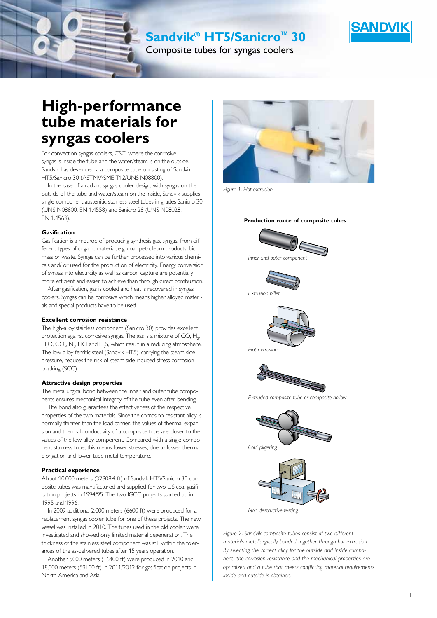**Sandvik® HT5/Sanicro™ 30** 

Composite tubes for syngas coolers

# **High-performance tube materials for syngas coolers**

For convection syngas coolers, CSC, where the corrosive syngas is inside the tube and the water/steam is on the outside, Sandvik has developed a a composite tube consisting of Sandvik HT5/Sanicro 30 (ASTM/ASME T12/UNS N08800).

In the case of a radiant syngas cooler design, with syngas on the outside of the tube and water/steam on the inside, Sandvik supplies single-component austenitic stainless steel tubes in grades Sanicro 30 (UNS N08800, EN 1.4558) and Sanicro 28 (UNS N08028, EN 1.4563).

#### **Gasification**

Gasification is a method of producing synthesis gas, syngas, from different types of organic material, e.g. coal, petroleum products, biomass or waste. Syngas can be further processed into various chemicals and/ or used for the production of electricity. Energy conversion of syngas into electricity as well as carbon capture are potentially more efficient and easier to achieve than through direct combustion.

After gasification, gas is cooled and heat is recovered in syngas coolers. Syngas can be corrosive which means higher alloyed materials and special products have to be used.

#### **Excellent corrosion resistance**

The high-alloy stainless component (Sanicro 30) provides excellent protection against corrosive syngas. The gas is a mixture of CO,  $\mathsf{H}_{_{\!2\!}}$ ,  $H_2O$ ,  $CO_2$ ,  $N_2$ , HCI and  $H_2S$ , which result in a reducing atmosphere. The low-alloy ferritic steel (Sandvik HT5), carrying the steam side pressure, reduces the risk of steam side induced stress corrosion cracking (SCC).

#### **Attractive design properties**

The metallurgical bond between the inner and outer tube components ensures mechanical integrity of the tube even after bending.

The bond also guarantees the effectiveness of the respective properties of the two materials. Since the corrosion resistant alloy is normally thinner than the load carrier, the values of thermal expansion and thermal conductivity of a composite tube are closer to the values of the low-alloy component. Compared with a single-component stainless tube, this means lower stresses, due to lower thermal elongation and lower tube metal temperature.

#### **Practical experience**

About 10,000 meters (32808.4 ft) of Sandvik HT5/Sanicro 30 composite tubes was manufactured and supplied for two US coal gasification projects in 1994/95. The two IGCC projects started up in 1995 and 1996.

In 2009 additional 2,000 meters (6600 ft) were produced for a replacement syngas cooler tube for one of these projects. The new vessel was installed in 2010. The tubes used in the old cooler were investigated and showed only limited material degeneration. The thickness of the stainless steel component was still within the tolerances of the as-delivered tubes after 15 years operation.

Another 5000 meters (16400 ft) were produced in 2010 and 18,000 meters (59100 ft) in 2011/2012 for gasification projects in North America and Asia.



*Figure 1. Hot extrusion.*



**Production route of composite tubes**





*Hot extrusion*



*Extruded composite tube or composite hollow*



*Figure 2. Sandvik composite tubes consist of two different materials metallurgically bonded together through hot extrusion. By selecting the correct alloy for the outside and inside component, the corrosion resistance and the mechanical properties are optimized and a tube that meets conflicting material requirements inside and outside is obtained.*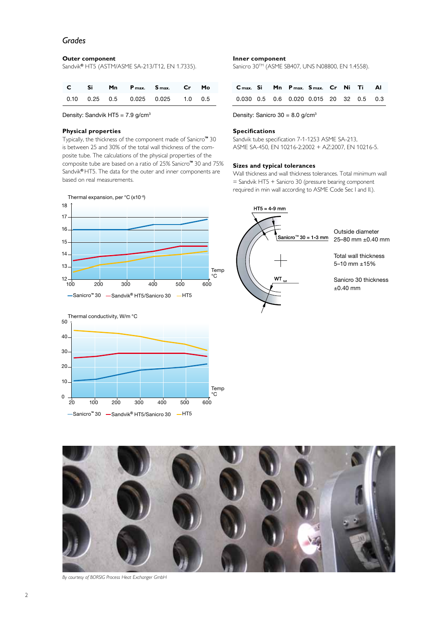## *Grades*

#### **Outer component**

Sandvik**®** HT5 (ASTM/ASME SA-213/T12, EN 1.7335).

|  |  | C Si Mn P <sub>max</sub> , S <sub>max</sub> , Cr Mo |  |
|--|--|-----------------------------------------------------|--|
|  |  | $0.10$ $0.25$ $0.5$ $0.025$ $0.025$ $1.0$ $0.5$     |  |

Density: Sandvik HT5 =  $7.9$  g/cm<sup>3</sup>

## **Physical properties**

Typically, the thickness of the component made of Sanicro**™** 30 is between 25 and 30% of the total wall thickness of the composite tube. The calculations of the physical properties of the composite tube are based on a ratio of 25% Sanicro**™** 30 and 75% Sandvik**®** HT5. The data for the outer and inner components are based on real measurements.





## **Inner component**

Sanicro 30™ (ASME SB407, UNS N08800, EN 1.4558).

|  |  | C <sub>max</sub> . Si Mn P <sub>max</sub> . S <sub>max</sub> . Cr Ni Ti Al |  |  |
|--|--|----------------------------------------------------------------------------|--|--|
|  |  | 0.030 0.5 0.6 0.020 0.015 20 32 0.5 0.3                                    |  |  |

Density: Sanicro  $30 = 8.0$  g/cm<sup>3</sup>

## **Specifications**

Sandvik tube specification 7-1-1253 ASME SA-213, ASME SA-450, EN 10216-2:2002 + AZ:2007, EN 10216-5.

## **Sizes and typical tolerances**

Wall thickness and wall thickness tolerances. Total minimum wall = Sandvik HT5 + Sanicro 30 (pressure bearing component required in min wall according to ASME Code Sec I and II.).





*By courtesy of BORSIG Process Heat Exchanger GmbH*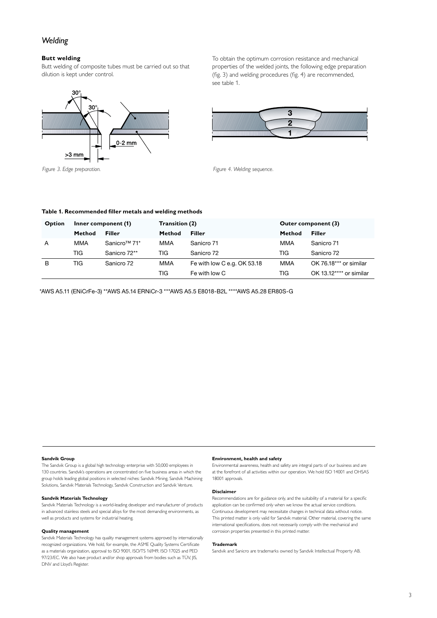# *Welding*

## **Butt welding**

Butt welding of composite tubes must be carried out so that dilution is kept under control.



To obtain the optimum corrosion resistance and mechanical properties of the welded joints, the following edge preparation (fig. 3) and welding procedures (fig. 4) are recommended, see table 1.



*Figure 3. Edge preparation. Figure 4. Welding sequence.*

#### **Table 1. Recommended filler metals and welding methods**

| Option | Inner component (1) |                          | Transition (2) |                             | Outer component (3) |                         |
|--------|---------------------|--------------------------|----------------|-----------------------------|---------------------|-------------------------|
|        | Method              | <b>Filler</b>            | Method         | <b>Filler</b>               | Method              | Filler                  |
| A      | MMA                 | Sanicro <sup>™</sup> 71* | MMA            | Sanicro 71                  | MMA                 | Sanicro 71              |
|        | TIG                 | Sanicro 72**             | TIG            | Sanicro 72                  | TIG                 | Sanicro 72              |
| B      | TIG                 | Sanicro 72               | MMA            | Fe with low C e.g. OK 53.18 | MMA                 | OK 76.18*** or similar  |
|        |                     |                          | TIG            | Fe with low C               | TIG                 | OK 13.12**** or similar |

\*AWS A5.11 (ENiCrFe-3) \*\*AWS A5.14 ERNiCr-3 \*\*\*AWS A5.5 E8018-B2L \*\*\*\*AWS A5.28 ER80S-G

#### **Sandvik Group**

The Sandvik Group is a global high technology enterprise with 50,000 employees in 130 countries. Sandvik's operations are concentrated on five business areas in which the group holds leading global positions in selected niches: Sandvik Mining, Sandvik Machining Solutions, Sandvik Materials Technology, Sandvik Construction and Sandvik Venture.

#### **Sandvik Materials Technology**

Sandvik Materials Technology is a world-leading developer and manufacturer of products in advanced stainless steels and special alloys for the most demanding environments, as well as products and systems for industrial heating.

#### **Quality management**

Sandvik Materials Technology has quality management systems approved by internationally recognized organizations. We hold, for example, the ASME Quality Systems Certificate as a materials organization, approval to ISO 9001, ISO/TS 16949, ISO 17025 and PED 97/23/EC. We also have product and/or shop approvals from bodies such as TÜV, JIS, DNV and Lloyd's Register.

#### **Environment, health and safety**

Environmental awareness, health and safety are integral parts of our business and are at the forefront of all activities within our operation. We hold ISO 14001 and OHSAS 18001 approvals.

#### **Disclaimer**

Recommendations are for guidance only, and the suitability of a material for a specific application can be confirmed only when we know the actual service conditions. Continuous development may necessitate changes in technical data without notice. This printed matter is only valid for Sandvik material. Other material, covering the same international specifications, does not necessarily comply with the mechanical and corrosion properties presented in this printed matter.

#### **Trademark**

Sandvik and Sanicro are trademarks owned by Sandvik Intellectual Property AB.